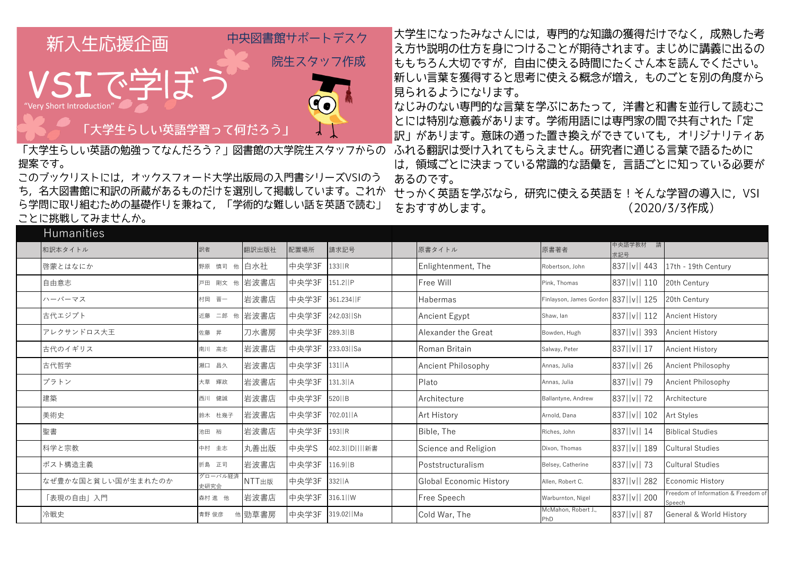

提案です。

このブックリストには、オックスフォード大学出版局の入門書シリーズVSIのう ち、名大図書館に和訳の所蔵があるものだけを選別して掲載しています。これか ら学問に取り組むための基礎作りを兼ねて、「学術的な難しい話を英語で読む」 ことに挑戦してみませんか。

大学生になったみなさんには、専門的な知識の獲得だけでなく、成熟した考 |え方や説明の仕方を身につけることが期待されます。まじめに講義に出るの ももちろん大切ですが、自由に使える時間にたくさん本を読んでください。 新しい言葉を獲得すると思考に使える概念が増え、ものごとを別の角度から 見られるようになります。

なじみのない専門的な言葉を学ぶにあたって、洋書と和書を並行して読むこ とには特別な意義があります。学術用語には専門家の間で共有された「定 |訳」があります。意味の通った置き換えができていても、オリジナリティあ 「大学生らしい英語の勉強ってなんだろう?」図書館の大学院生スタッフからの「ふれる翻訳は受け入れてもらえません。研究者に通じる言葉で語るために は、領域ごとに決まっている常識的な語彙を、言語ごとに知っている必要が あるのです。

> せっかく英語を学ぶなら、研究に使える英語を!そんな学習の導入に、VSI をおすすめします。 (2020/3/3作成)

| <b>Humanities</b>  |                 |           |       |                |                                |                                           |                   |                                              |
|--------------------|-----------------|-----------|-------|----------------|--------------------------------|-------------------------------------------|-------------------|----------------------------------------------|
| 和訳本タイトル            | 訳者              | 翻訳出版社     | 配置場所  | 請求記号           | 原書タイトル                         | 原書著者                                      | 中央語学教材 請<br>求記号   |                                              |
| 啓蒙とはなにか            | 野原 慎司 他 白水社     |           | 中央学3F | $133$   R      | Enlightenment, The             | Robertson, John                           | 837   v   443     | 17th - 19th Century                          |
| 自由意志               | 戸田 剛文 他 岩波書店    |           | 中央学3F | 151.2  P       | Free Will                      | Pink, Thomas                              | 837     v     110 | 20th Century                                 |
| ハーバーマス             | 村岡 晋一           | 岩波書店      | 中央学3F | 361.234  F     | Habermas                       | Finlayson, James Gordon 837     v     125 |                   | 20th Century                                 |
| 古代エジプト             | 近藤              | 二郎 他 岩波書店 | 中央学3F | 242.03   Sh    | Ancient Egypt                  | Shaw, lan                                 | 837   v   112     | <b>Ancient History</b>                       |
| アレクサンドロス大王         | 佐藤 昇            | 刀水書房      | 中央学3F | 289.3 B        | Alexander the Great            | Bowden, Hugh                              | 837   v   393     | <b>Ancient History</b>                       |
| 古代のイギリス            | 南川 高志           | 岩波書店      | 中央学3F | 233.03   Sa    | Roman Britain                  | Salway, Peter                             | 837   v   17      | <b>Ancient History</b>                       |
| 古代哲学               | 瀬口 昌久           | 岩波書店      | 中央学3F | $131$   A      | Ancient Philosophy             | Annas, Julia                              | 837   v   26      | Ancient Philosophy                           |
| プラトン               | 大草 輝政           | 岩波書店      | 中央学3F | $131.3$   A    | Plato                          | Annas, Julia                              | 837   v     79    | Ancient Philosophy                           |
| 建築                 | 西川 健誠           | 岩波書店      | 中央学3F | 520  B         | Architecture                   | Ballantyne, Andrew                        | 837   v     72    | Architecture                                 |
| 美術史                | 鈴木 杜幾子          | 岩波書店      | 中央学3F | 702.01   A     | Art History                    | Arnold, Dana                              | 837   v   102     | Art Styles                                   |
| 聖書                 | 池田 裕            | 岩波書店      | 中央学3F | $ 193 $ R      | Bible, The                     | Riches, John                              | 837   v   14      | <b>Biblical Studies</b>                      |
| 科学と宗教              | 中村 圭志           | 丸善出版      | 中央学S  | 402.3  D    新書 | Science and Religion           | Dixon, Thomas                             | 837   v   189     | <b>Cultural Studies</b>                      |
| ポスト構造主義            | 折島 正司           | 岩波書店      | 中央学3F | $116.9$   B    | Poststructuralism              | Belsey, Catherine                         | 837     v     73  | <b>Cultural Studies</b>                      |
| なぜ豊かな国と貧しい国が生まれたのか | グローバル経済<br>史研究会 | NTT出版     | 中央学3F | $332$   A      | <b>Global Economic History</b> | Allen, Robert C.                          | 837   v   282     | Economic History                             |
| 「表現の自由」入門          | 森村 進 他          | 岩波書店      | 中央学3F | $316.1$   W    | Free Speech                    | Warburnton, Nigel                         | 837   v   200     | reedom of Information & Freedom of<br>Speech |
| 冷戦史                | 青野 俊彦           | 他勁草書房     | 中央学3F | 319.02   Ma    | Cold War, The                  | McMahon, Robert J.,<br>PhD                | 837   v   87      | <b>General &amp; World History</b>           |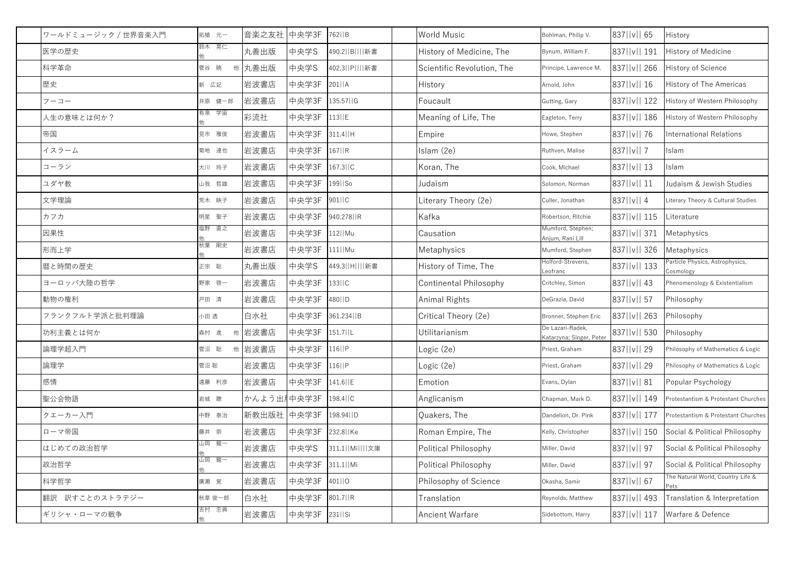| ワールドミュージック / 世界音楽入門 | 拓植 元一  | 音楽之友社 中央学3F                       |                 | 762  B          | World Music                   | Bohlman, Philip V.                           | 837   v   65      | History                                      |
|---------------------|--------|-----------------------------------|-----------------|-----------------|-------------------------------|----------------------------------------------|-------------------|----------------------------------------------|
| 医学の歴史               | 鈴木 晃仁  | 丸善出版                              | 中央学S            | 490.2  B    新書  | History of Medicine, The      | Bynum, William F.                            | 837   v   191     | History of Medicine                          |
| 科学革命                | 菅谷 暁   | 他 丸善出版                            | 中央学S            | 402.3  P    新書  | Scientific Revolution, The    | Principe, Lawrence M                         | 837     v     266 | <b>History of Science</b>                    |
| 歴史                  | 新 広記   | 岩波書店                              | 中央学3F           | $201$     A     | History                       | Arnold, John                                 | 837  v   16       | History of The Americas                      |
| フーコー                | 井原 健一郎 | 岩波書店                              | 中央学3F           | 135.57   G      | Foucault                      | Gutting, Gary                                | 837   v   122     | History of Western Philosophy                |
| 人生の意味とは何か?          | 有泉 学宙  | 彩流社                               | 中央学3F 113  E    |                 | Meaning of Life, The          | Eagleton, Terry                              | 837   v   186     | History of Western Philosophy                |
| 帝国                  | 見市 雅俊  | 岩波書店                              | 中央学3F 311.4 H   |                 | Empire                        | Howe, Stephen                                | 837   v     76    | International Relations                      |
| イスラーム               | 菊地 達也  | 岩波書店                              | 中央学3F           | $167$   R       | Islam (2e)                    | Ruthven, Malise                              | 837     v     7   | Islam                                        |
| コーラン                | 大川 玲子  | 岩波書店                              | 中央学3F           | $167.3$   C     | Koran, The                    | Cook, Michael                                | 837   v   13      | Islam                                        |
| ユダヤ教                | 山我 哲雄  | 岩波書店                              | 中央学3F           | 199  So         | Judaism                       | Solomon, Norman                              | 837   v   11      | Judaism & Jewish Studies                     |
| 文学理論                | 荒木 映子  | 岩波書店                              | 中央学3F           | 901  C          | Literary Theory (2e)          | Culler, Jonathan                             | 837  v  4         | Literary Theory & Cultural Studies           |
| カフカ                 | 明星 聖子  | 岩波書店                              | 中央学3F           | 940.278 R       | Kafka                         | Robertson, Ritchie                           | 837     v     115 | _iterature                                   |
| 因果性                 | 塩野 直之  | 岩波書店                              | 中央学3F           | $112$  Mu       | Causation                     | Mumford, Stephen;<br>Anjum, Rani Lill        | 837     v     371 | Metaphysics                                  |
| 形而上学                | 秋葉 剛史  | 岩波書店                              | 中央学3F           | 111  Mu         | Metaphysics                   | Mumford, Stephen                             | 837   v   326     | Metaphysics                                  |
| 暦と時間の歴史             | 正宗 聡   | 丸善出版                              | 中央学S            | 449.3  H    新書  | History of Time, The          | Holford-Strevens,<br>Leofranc                | 837  v   133      | Particle Physics, Astrophysics,<br>Cosmology |
| ヨーロッパ大陸の哲学          | 野家 啓一  | 岩波書店                              | 中央学3F           | 133  C          | <b>Continental Philosophy</b> | Critchley, Simon                             | 837   v   43      | Phenomenology & Existentialism               |
| 動物の権利               | 戸田清    | 岩波書店                              | 中央学3F           | 480 D           | Animal Rights                 | DeGrazia, David                              | 837   v   57      | Philosophy                                   |
| フランクフルト学派と批判理論      | 小田 透   | 白水社                               | 中央学3F           | 361.234   B     | Critical Theory (2e)          | Bronner, Stephen Eric                        | 837  v  263       | Philosophy                                   |
| 功利主義とは何か            | 森村 進   | 他岩波書店                             | 中央学3F           | $151.7$   L     | Utilitarianism                | De Lazari-Radek,<br>Katarzyna; Singer, Peter | 837   v   530     | Philosophy                                   |
| 論理学超入門              | 菅沼 聡   | 他岩波書店                             | 中央学3F 116  P    |                 | Logic (2e)                    | Priest, Graham                               | 837  v   29       | Philosophy of Mathematics & Logic            |
| 論理学                 | 菅沼 聡   | 岩波書店                              | 中央学3F 116  P    |                 | Logic (2e)                    | Priest, Graham                               | 837   v   29      | Philosophy of Mathematics & Logic            |
| 感情                  | 遠藤 利彦  | 岩波書店                              | 中央学3F  141.6  E |                 | Emotion                       | Evans, Dylan                                 | 837  v   81       | Popular Psychology                           |
| 聖公会物語               | 岩城 聰   | かんよう出 $ \uparrow$ 中央学3F  198.4  C |                 |                 | Anglicanism                   | Chapman, Mark D.                             | 837   v   149     | Protestantism & Protestant Churches          |
| クエーカー入門             | 中野 泰治  | 新教出版社 中央学3F                       |                 | 198.94   D      | Quakers, The                  | Dandelion, Dr. Pink                          | 837   v   177     | Protestantism & Protestant Churches          |
| ローマ帝国               | 藤井 崇   | 岩波書店                              | 中央学3F           | 232.8   Ke      | Roman Empire, The             | Kelly, Christopher                           | 837   v   150     | Social & Political Philosophy                |
| はじめての政治哲学           | 山岡の龍一  | 岩波書店                              | 中央学S            | 311.1  Mi    文庫 | Political Philosophy          | Miller, David                                | 837   v   97      | Social & Political Philosophy                |
| 政治哲学                | 山岡 龍一  | 岩波書店                              | 中央学3F 311.1  Mi |                 | Political Philosophy          | Miller, David                                | 837   v   97      | Social & Political Philosophy                |
| 科学哲学                | 廣瀬 覚   | 岩波書店                              | 中央学3F           | 401  O          | Philosophy of Science         | Okasha, Samir                                | 837   v   67      | The Natural World, Country Life &<br>Pets    |
| 翻訳 訳すことのストラテジー      | 秋草 俊一郎 | 白水社                               | 中央学3F           | 801.7   R       | Translation                   | Reynolds, Matthew                            | 837   v   493     | Translation & Interpretation                 |
| ギリシャ・ローマの戦争         | 吉村 忠典  | 岩波書店                              | 中央学3F 231  Si   |                 | <b>Ancient Warfare</b>        | Sidebottom, Harry                            | 837   v   117     | Warfare & Defence                            |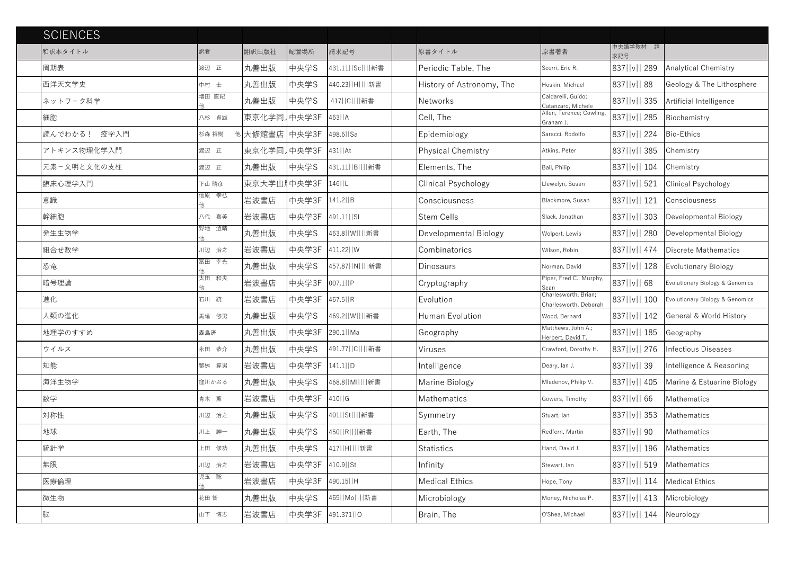| <b>SCIENCES</b> |       |             |       |                       |                            |                                               |                              |                                    |
|-----------------|-------|-------------|-------|-----------------------|----------------------------|-----------------------------------------------|------------------------------|------------------------------------|
| 和訳本タイトル         | 訳者    | 翻訳出版社       | 配置場所  | 請求記号                  | 原書タイトル                     | 原書著者                                          | 中央語学教材 請<br>求記号              |                                    |
| 周期表             | 渡辺 正  | 丸善出版        | 中央学S  | 431.11  Sc    新書      | Periodic Table, The        | Scerri, Eric R.                               | 837  v   289                 | <b>Analytical Chemistry</b>        |
| 西洋天文学史          | 中村 士  | 丸善出版        | 中央学S  | 440.23  H    新書       | History of Astronomy, The  | Hoskin, Michael                               | 837   v   88                 | Geology & The Lithosphere          |
| ネットワーク科学        | 増田 直紀 | 丸善出版        | 中央学S  | 417  C    新書          | <b>Networks</b>            | Caldarelli, Guido;<br>Catanzaro, Michele      | 837     v     335            | Artificial Intelligence            |
| 細胞              | 八杉 貞雄 | 東京化学同】中央学3F |       | $463$   $A$           | Cell, The                  | Allen, Terence; Cowling<br>Graham J.          | 837  v   285                 | Biochemistry                       |
| 読んでわかる! 疫学入門    | 杉森 裕樹 | 大修館書店 中央学3F |       | 498.6  Sa             | Epidemiology               | Saracci, Rodolfo                              | 837     v     224            | Bio-Ethics                         |
| アトキンス物理化学入門     | 渡辺 正  | 東京化学同 中央学3F |       | 431  At               | <b>Physical Chemistry</b>  | Atkins, Peter                                 | 837  v   385                 | Chemistry                          |
| 元素ー文明と文化の支柱     | 渡辺 正  | 丸善出版        | 中央学S  | 431.11  B    新書       | Elements, The              | Ball, Philip                                  | 837  v   104                 | Chemistry                          |
| 臨床心理学入門         | 下山 晴彦 | 東京大学出#中央学3F |       | $146$   $L$           | <b>Clinical Psychology</b> | Llewelyn, Susan                               | 837  v   521                 | <b>Clinical Psychology</b>         |
| 意識              | 信原 幸弘 | 岩波書店        | 中央学3F | $141.2$   B           | Consciousness              | Blackmore, Susan                              | 837   v   121                | Consciousness                      |
| 幹細胞             | 八代 嘉美 | 岩波書店        | 中央学3F | 491.11  SI            | Stem Cells                 | Slack, Jonathan                               | 837     v     303            | Developmental Biology              |
| 発生生物学           | 野地 澄晴 | 丸善出版        | 中央学S  | 463.8   W         新書  | Developmental Biology      | Wolpert, Lewis                                | 837  v   280                 | Developmental Biology              |
| 組合せ数学           | 川辺 治之 | 岩波書店        | 中央学3F | 411.22   W            | Combinatorics              | Wilson, Robin                                 | 837  v   474                 | Discrete Mathematics               |
| 恐竜              | 冨田さ幸光 | 丸善出版        | 中央学S  | 457.87   N         新書 | Dinosaurs                  | Norman, David                                 | 837   v   128                | <b>Evolutionary Biology</b>        |
| 暗号理論            | 太田の和夫 | 岩波書店        | 中央学3F | 007.1  P              | Cryptography               | Piper, Fred C.; Murphy<br>Sean                | 837  v   68                  | Evolutionary Biology & Genomics    |
| 進化              | 石川 統  | 岩波書店        | 中央学3F | 467.5   R             | Evolution                  | Charlesworth, Brian;<br>Charlesworth, Deborah | 837  v   100                 | Evolutionary Biology & Genomics    |
| 人類の進化           | 馬場 悠男 | 丸善出版        | 中央学S  | 469.2  W    新書        | Human Evolution            | Wood, Bernard                                 | 837  v   142                 | <b>General &amp; World History</b> |
| 地理学のすすめ         | 森島済   | 丸善出版        | 中央学3F | 290.1  Ma             | Geography                  | Matthews, John A.;<br>Herbert, David T.       | 837  v   185                 | Geography                          |
| ウイルス            | 永田 恭介 | 丸善出版        | 中央学S  | 491.77   C        新書  | Viruses                    | Crawford, Dorothy H.                          |                              | 837  v   276  Infectious Diseases  |
| 知能              | 繁桝 算男 | 岩波書店        | 中央学3F | $141.1$   D           | Intelligence               | Deary, lan J.                                 | $837$   v   39               | Intelligence & Reasoning           |
| 海洋生物学           | 窪川かおる | 丸善出版        | 中央学S  | 468.8   MI         新書 | Marine Biology             | Mladenov, Philip V.                           | 837  v   405                 | Marine & Estuarine Biology         |
| 数学              | 青木 薫  | 岩波書店        | 中央学3F | 410  G                | <b>Mathematics</b>         | Gowers, Timothy                               | $837$   v   66               | Mathematics                        |
| 対称性             | 川辺 治之 | 丸善出版        | 中央学S  | 401  St    新書         | Symmetry                   | Stuart, lan                                   | $ 837  v  $ 353              | Mathematics                        |
| 地球              | 川上 紳一 | 丸善出版        | 中央学S  | 450  R    新書          | Earth, The                 | Redfern, Martin                               | $837$   v   90               | Mathematics                        |
| 統計学             | 上田修功  | 丸善出版        | 中央学S  | 417  H    新書          | <b>Statistics</b>          | Hand, David J.                                | 837  v   196                 | Mathematics                        |
| 無限              | 川辺 治之 | 岩波書店        | 中央学3F | 410.9 St              | Infinity                   | Stewart, lan                                  | 837  v   519                 | Mathematics                        |
| 医療倫理            | 児玉 聡  | 岩波書店        | 中央学3F | 490.15   H            | <b>Medical Ethics</b>      | Hope, Tony                                    |                              | 837  v   114   Medical Ethics      |
| 微生物             | 花田 智  | 丸善出版        | 中央学S  | 465  Mo    新書         | Microbiology               | Money, Nicholas P.                            | 837   v   413   Microbiology |                                    |
| 脳               | 山下 博志 | 岩波書店        | 中央学3F | 491.371  O            | Brain, The                 | O'Shea, Michael                               | $ 837  v   144$ Neurology    |                                    |